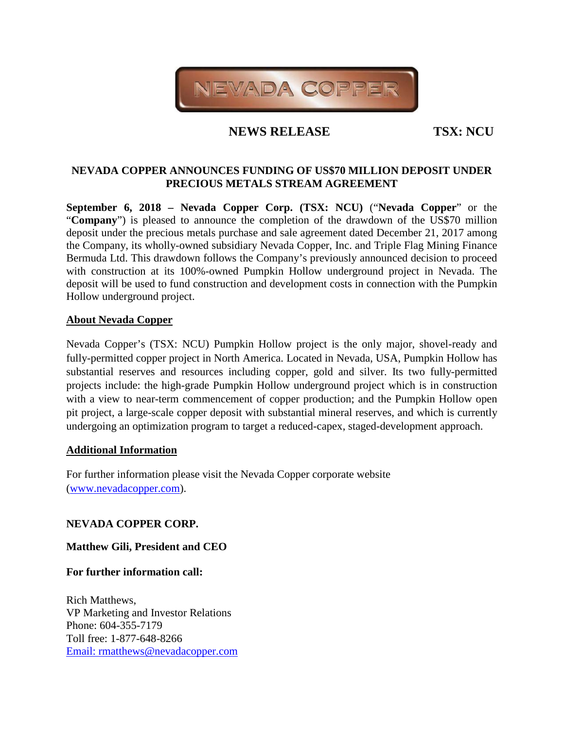

# **NEWS RELEASE TSX: NCU**

## **NEVADA COPPER ANNOUNCES FUNDING OF US\$70 MILLION DEPOSIT UNDER PRECIOUS METALS STREAM AGREEMENT**

**September 6, 2018 – Nevada Copper Corp. (TSX: NCU)** ("**Nevada Copper**" or the "**Company**") is pleased to announce the completion of the drawdown of the US\$70 million deposit under the precious metals purchase and sale agreement dated December 21, 2017 among the Company, its wholly-owned subsidiary Nevada Copper, Inc. and Triple Flag Mining Finance Bermuda Ltd. This drawdown follows the Company's previously announced decision to proceed with construction at its 100%-owned Pumpkin Hollow underground project in Nevada. The deposit will be used to fund construction and development costs in connection with the Pumpkin Hollow underground project.

### **About Nevada Copper**

Nevada Copper's (TSX: NCU) Pumpkin Hollow project is the only major, shovel-ready and fully-permitted copper project in North America. Located in Nevada, USA, Pumpkin Hollow has substantial reserves and resources including copper, gold and silver. Its two fully-permitted projects include: the high-grade Pumpkin Hollow underground project which is in construction with a view to near-term commencement of copper production; and the Pumpkin Hollow open pit project, a large-scale copper deposit with substantial mineral reserves, and which is currently undergoing an optimization program to target a reduced-capex, staged-development approach.

#### **Additional Information**

For further information please visit the Nevada Copper corporate website [\(www.nevadacopper.com\)](http://www.nevadacopper.com/).

### **NEVADA COPPER CORP.**

### **Matthew Gili, President and CEO**

**For further information call:**

Rich Matthews, VP Marketing and Investor Relations Phone: 604-355-7179 Toll free: 1-877-648-8266 [Email: rmatthews@nevadacopper.com](mailto:rmatthews@nevadacopper.com)